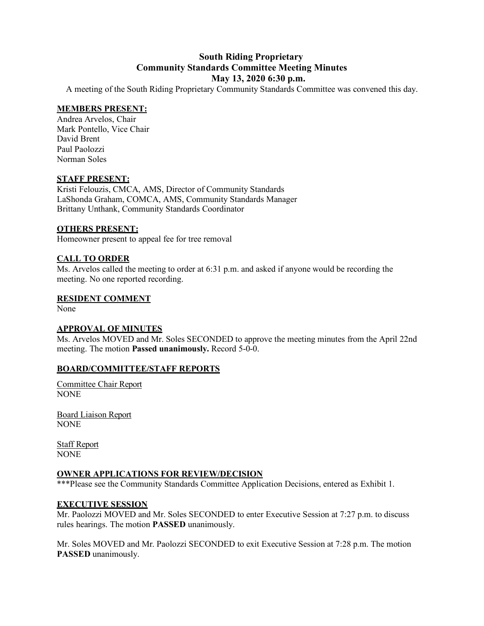# **South Riding Proprietary Community Standards Committee Meeting Minutes May 13, 2020 6:30 p.m.**

A meeting of the South Riding Proprietary Community Standards Committee was convened this day.

# **MEMBERS PRESENT:**

Andrea Arvelos, Chair Mark Pontello, Vice Chair David Brent Paul Paolozzi Norman Soles

# **STAFF PRESENT:**

Kristi Felouzis, CMCA, AMS, Director of Community Standards LaShonda Graham, COMCA, AMS, Community Standards Manager Brittany Unthank, Community Standards Coordinator

# **OTHERS PRESENT:**

Homeowner present to appeal fee for tree removal

# **CALL TO ORDER**

Ms. Arvelos called the meeting to order at 6:31 p.m. and asked if anyone would be recording the meeting. No one reported recording.

# **RESIDENT COMMENT**

None

# **APPROVAL OF MINUTES**

Ms. Arvelos MOVED and Mr. Soles SECONDED to approve the meeting minutes from the April 22nd meeting. The motion **Passed unanimously.** Record 5-0-0.

# **BOARD/COMMITTEE/STAFF REPORTS**

Committee Chair Report NONE

Board Liaison Report NONE

Staff Report NONE

# **OWNER APPLICATIONS FOR REVIEW/DECISION**

\*\*\*Please see the Community Standards Committee Application Decisions, entered as Exhibit 1.

# **EXECUTIVE SESSION**

Mr. Paolozzi MOVED and Mr. Soles SECONDED to enter Executive Session at 7:27 p.m. to discuss rules hearings. The motion **PASSED** unanimously.

Mr. Soles MOVED and Mr. Paolozzi SECONDED to exit Executive Session at 7:28 p.m. The motion **PASSED** unanimously.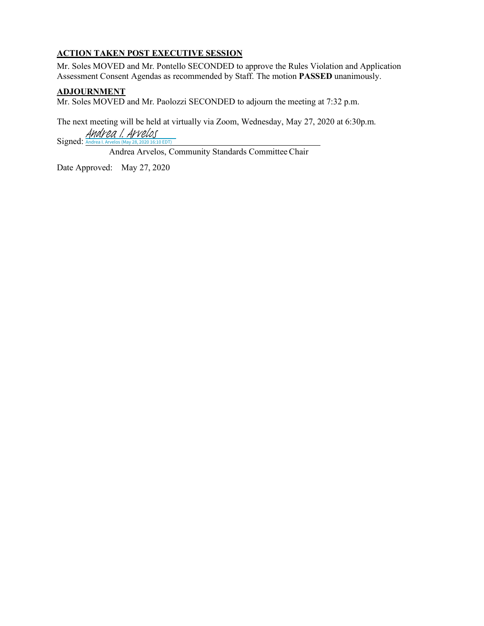# **ACTION TAKEN POST EXECUTIVE SESSION**

Mr. Soles MOVED and Mr. Pontello SECONDED to approve the Rules Violation and Application Assessment Consent Agendas as recommended by Staff. The motion **PASSED** unanimously.

# **ADJOURNMENT**

Mr. Soles MOVED and Mr. Paolozzi SECONDED to adjourn the meeting at 7:32 p.m.

The next meeting will be held at virtually via Zoom, Wednesday, May 27, 2020 at 6:30p.m.

Signed: [Andrea I. Arvelos](https://na2.documents.adobe.com/verifier?tx=CBJCHBCAABAAlkmSTcb2Sh1pC6yp7yvg0OkGdX0HvN9N) (May 28, 2020 16:10 EDT)

Andrea Arvelos, Community Standards CommitteeChair

Date Approved: May 27, 2020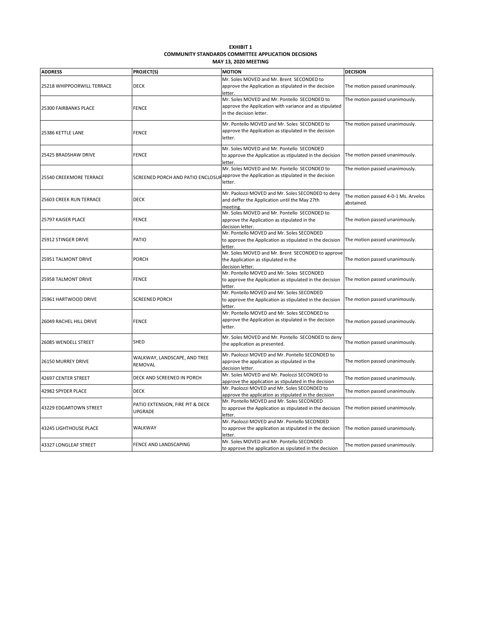| <b>FXHIBIT 1</b>                                    |
|-----------------------------------------------------|
| COMMUNITY STANDARDS COMMITTEE APPLICATION DECISIONS |
| <b>MAY 13, 2020 MEETING</b>                         |

| <b>ADDRESS</b>                             | PROJECT(S)                                  | <b>MOTION</b>                                                                                         | <b>DECISION</b>                     |
|--------------------------------------------|---------------------------------------------|-------------------------------------------------------------------------------------------------------|-------------------------------------|
| 25218 WHIPPOORWILL TERRACE                 | <b>DECK</b>                                 | Mr. Soles MOVED and Mr. Brent SECONDED to                                                             |                                     |
|                                            |                                             | approve the Application as stipulated in the decision<br>letter.                                      | The motion passed unanimously.      |
| 25300 FAIRBANKS PLACE                      | FENCE                                       | Mr. Soles MOVED and Mr. Pontello SECONDED to                                                          | The motion passed unanimously.      |
|                                            |                                             | approve the Application with variance and as stipulated                                               |                                     |
|                                            |                                             | in the decision letter.                                                                               |                                     |
| 25386 KETTLE LANE                          | FENCE                                       | Mr. Pontello MOVED and Mr. Soles SECONDED to                                                          | The motion passed unanimously.      |
|                                            |                                             | approve the Application as stipulated in the decision                                                 |                                     |
|                                            |                                             | letter.                                                                                               |                                     |
| 25425 BRADSHAW DRIVE                       | <b>FENCE</b>                                | Mr. Soles MOVED and Mr. Pontello SECONDED                                                             |                                     |
|                                            |                                             | to approve the Application as stipulated in the decision                                              | The motion passed unanimously.      |
|                                            |                                             | letter.<br>Mr. Soles MOVED and Mr. Pontello SECONDED to                                               | The motion passed unanimously.      |
| 25540 CREEKMORE TERRACE                    | SCREENED PORCH AND PATIO ENCLOSUI           | approve the Application as stipulated in the decision                                                 |                                     |
|                                            |                                             | letter.                                                                                               |                                     |
|                                            |                                             |                                                                                                       |                                     |
| 25603 CREEK RUN TERRACE                    | <b>DECK</b>                                 | Mr. Paolozzi MOVED and Mr. Soles SECONDED to deny<br>and deffer the Application until the May 27th    | The motion passed 4-0-1 Ms. Arvelos |
|                                            |                                             | meeting.                                                                                              | abstained.                          |
| 25797 KAISER PLACE                         | <b>FENCE</b>                                | Mr. Soles MOVED and Mr. Pontello SECONDED to                                                          |                                     |
|                                            |                                             | approve the Application as stipulated in the                                                          | The motion passed unanimously.      |
|                                            |                                             | decision letter.                                                                                      |                                     |
|                                            | PATIO                                       | Mr. Pontello MOVED and Mr. Soles SECONDED                                                             |                                     |
| 25912 STINGER DRIVE                        |                                             | to approve the Application as stipulated in the decision<br>letter.                                   | The motion passed unanimously.      |
| 25951 TALMONT DRIVE<br>25958 TALMONT DRIVE | PORCH<br>FENCE                              | Mr. Soles MOVED and Mr. Brent SECONDED to approve                                                     |                                     |
|                                            |                                             | the Application as stipulated in the                                                                  | The motion passed unanimously.      |
|                                            |                                             | decision letter.                                                                                      |                                     |
|                                            |                                             | Mr. Pontello MOVED and Mr. Soles SECONDED                                                             | The motion passed unanimously.      |
|                                            |                                             | to approve the Application as stipulated in the decision<br>letter.                                   |                                     |
| 25961 HARTWOOD DRIVE                       | <b>SCREENED PORCH</b>                       | Mr. Pontello MOVED and Mr. Soles SECONDED                                                             |                                     |
|                                            |                                             | to approve the Application as stipulated in the decision                                              | The motion passed unanimously.      |
|                                            |                                             | letter.<br>Mr. Pontello MOVED and Mr. Soles SECONDED to                                               |                                     |
| 26049 RACHEL HILL DRIVE                    | <b>FENCE</b>                                | approve the Application as stipulated in the decision                                                 | The motion passed unanimously.      |
|                                            |                                             | letter.                                                                                               |                                     |
|                                            |                                             | Mr. Soles MOVED and Mr. Pontello SECONDED to deny                                                     |                                     |
| 26085 WENDELL STREET                       | <b>SHED</b>                                 | the application as presented.                                                                         | The motion passed unanimously.      |
| 26150 MURREY DRIVE                         | WALKWAY, LANDSCAPE, AND TREE<br>REMOVAL     | Mr. Paolozzi MOVED and Mr. Pontello SECONDED to                                                       |                                     |
|                                            |                                             | approve the application as stipulated in the                                                          | The motion passed unanimously.      |
|                                            |                                             | decision letter.                                                                                      |                                     |
| 42697 CENTER STREET                        | DECK AND SCREENED IN PORCH                  | Mr. Soles MOVED and Mr. Paolozzi SECONDED to                                                          | The motion passed unanimously.      |
|                                            |                                             | approve the application as stipulated in the decision                                                 |                                     |
| 42982 SPYDER PLACE                         | <b>DECK</b>                                 | Mr. Paolozzi MOVED and Mr. Soles SECONDED to<br>approve the application as stipulated in the decision | The motion passed unanimously.      |
| 43229 EDGARTOWN STREET                     | PATIO EXTENSION, FIRE PIT & DECK<br>UPGRADE | Mr. Pontello MOVED and Mr. Soles SECONDED                                                             |                                     |
|                                            |                                             | to approve the Application as stipulated in the decision                                              | The motion passed unanimously.      |
|                                            |                                             | letter.                                                                                               |                                     |
| 43245 LIGHTHOUSE PLACE                     | WALKWAY                                     | Mr. Paolozzi MOVED and Mr. Pontello SECONDED                                                          |                                     |
|                                            |                                             | to approve the application as stipulated in the decision                                              | The motion passed unanimously.      |
|                                            |                                             | letter.<br>Mr. Soles MOVED and Mr. Pontello SECONDED                                                  |                                     |
| 43327 LONGLEAF STREET                      | FENCE AND LANDSCAPING                       | to approve the application as sipulated in the decision                                               | The motion passed unanimously.      |